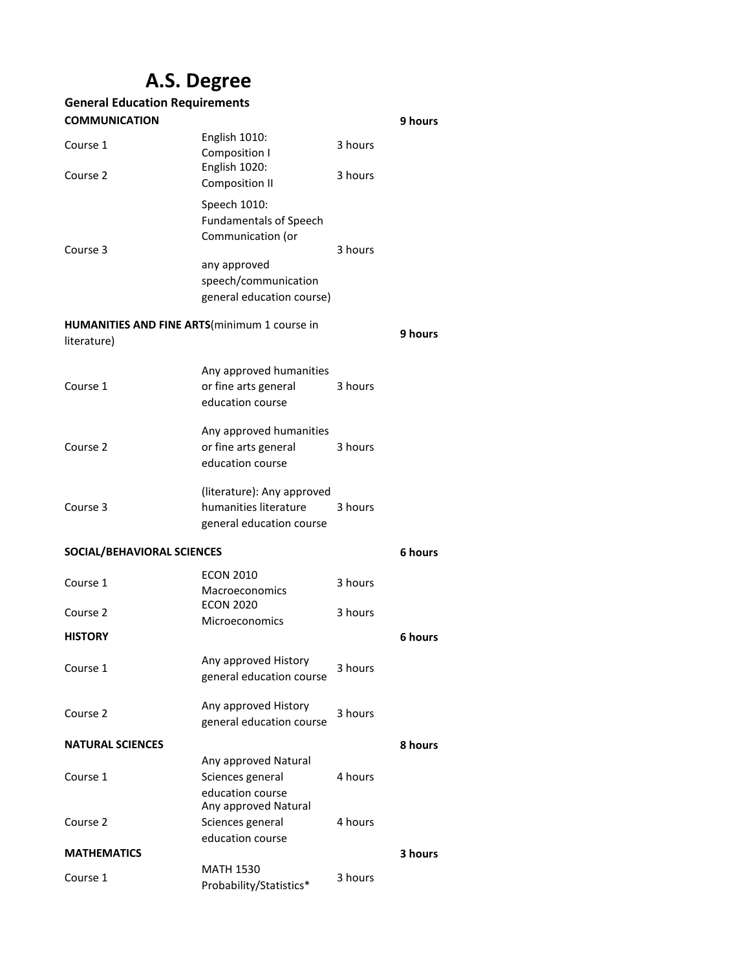## **A.S. Degree**

| <b>General Education Requirements</b>                               |                                                                                                                                         |         |         |
|---------------------------------------------------------------------|-----------------------------------------------------------------------------------------------------------------------------------------|---------|---------|
| <b>COMMUNICATION</b>                                                |                                                                                                                                         |         | 9 hours |
| Course 1                                                            | English 1010:<br>Composition I                                                                                                          | 3 hours |         |
| Course 2                                                            | English 1020:<br><b>Composition II</b>                                                                                                  | 3 hours |         |
| Course 3                                                            | Speech 1010:<br><b>Fundamentals of Speech</b><br>Communication (or<br>any approved<br>speech/communication<br>general education course) | 3 hours |         |
| <b>HUMANITIES AND FINE ARTS</b> (minimum 1 course in<br>literature) |                                                                                                                                         |         | 9 hours |
| Course 1                                                            | Any approved humanities<br>or fine arts general<br>education course                                                                     | 3 hours |         |
| Course 2                                                            | Any approved humanities<br>or fine arts general<br>education course                                                                     | 3 hours |         |
| Course 3                                                            | (literature): Any approved<br>humanities literature<br>general education course                                                         | 3 hours |         |
| SOCIAL/BEHAVIORAL SCIENCES                                          |                                                                                                                                         |         | 6 hours |
| Course 1                                                            | <b>ECON 2010</b><br><b>Macroeconomics</b>                                                                                               | 3 hours |         |
| Course 2                                                            | <b>ECON 2020</b><br>Microeconomics                                                                                                      | 3 hours |         |
| <b>HISTORY</b>                                                      |                                                                                                                                         |         | 6 hours |
| Course 1                                                            | Any approved History<br>general education course                                                                                        | 3 hours |         |
| Course 2                                                            | Any approved History<br>general education course                                                                                        | 3 hours |         |
| <b>NATURAL SCIENCES</b>                                             |                                                                                                                                         |         | 8 hours |
| Course 1                                                            | Any approved Natural<br>Sciences general<br>education course                                                                            | 4 hours |         |
| Course 2                                                            | Any approved Natural<br>Sciences general<br>education course                                                                            | 4 hours |         |
| <b>MATHEMATICS</b>                                                  |                                                                                                                                         |         | 3 hours |
| Course 1                                                            | <b>MATH 1530</b><br>Probability/Statistics*                                                                                             | 3 hours |         |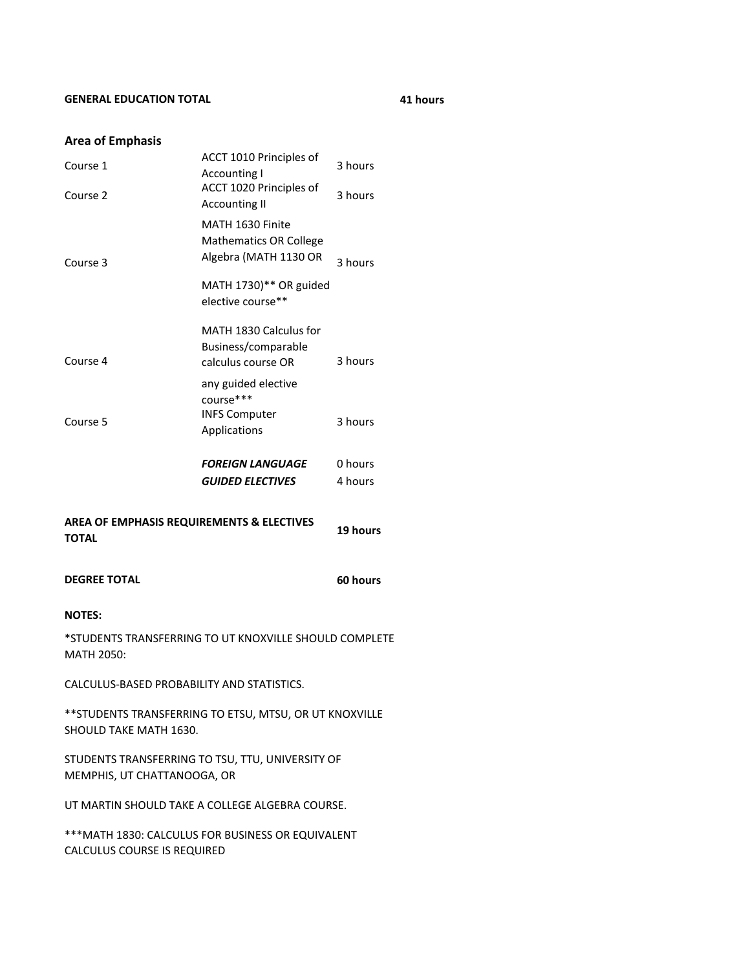## **GENERAL EDUCATION TOTAL**

**41 hours**

## **Area of Emphasis**

| Course 1                                                      | ACCT 1010 Principles of<br><b>Accounting I</b><br>ACCT 1020 Principles of                            | 3 hours  |
|---------------------------------------------------------------|------------------------------------------------------------------------------------------------------|----------|
| Course 2                                                      | <b>Accounting II</b>                                                                                 | 3 hours  |
| Course 3                                                      | MATH 1630 Finite<br><b>Mathematics OR College</b><br>Algebra (MATH 1130 OR<br>MATH 1730)** OR guided | 3 hours  |
|                                                               | elective course**                                                                                    |          |
| Course 4                                                      | MATH 1830 Calculus for<br>Business/comparable<br>calculus course OR                                  | 3 hours  |
|                                                               | any guided elective<br>course***<br><b>INFS Computer</b>                                             |          |
| Course 5                                                      | Applications                                                                                         | 3 hours  |
|                                                               | <b>FOREIGN LANGUAGE</b>                                                                              | 0 hours  |
|                                                               | <b>GUIDED ELECTIVES</b>                                                                              | 4 hours  |
| <b>AREA OF EMPHASIS REQUIREMENTS &amp; ELECTIVES</b><br>TOTAL |                                                                                                      |          |
|                                                               |                                                                                                      | 19 hours |
| <b>DEGREE TOTAL</b>                                           |                                                                                                      | 60 hours |
| <b>NOTES:</b>                                                 |                                                                                                      |          |
| <b>MATH 2050:</b>                                             | *STUDENTS TRANSFERRING TO UT KNOXVILLE SHOULD COMPLETE                                               |          |
| CALCULUS-BASED PROBABILITY AND STATISTICS.                    |                                                                                                      |          |
| SHOULD TAKE MATH 1630.                                        | ** STUDENTS TRANSFERRING TO ETSU, MTSU, OR UT KNOXVILLE                                              |          |
| MEMPHIS, UT CHATTANOOGA, OR                                   | STUDENTS TRANSFERRING TO TSU, TTU, UNIVERSITY OF                                                     |          |
|                                                               | UT MARTIN SHOULD TAKE A COLLEGE ALGEBRA COURSE.                                                      |          |